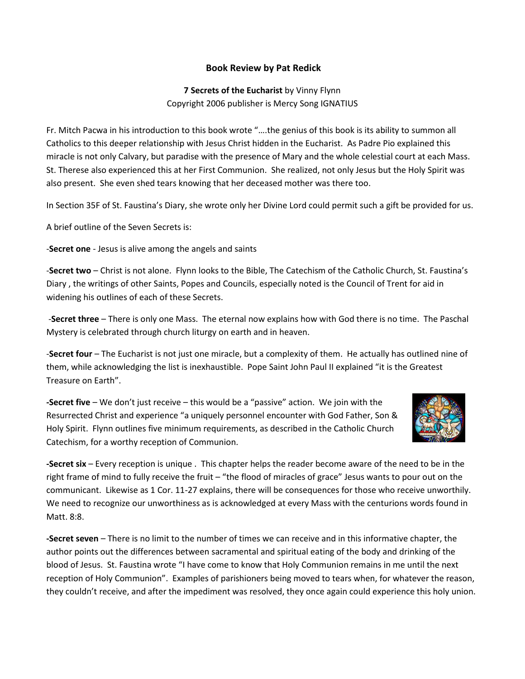## **Book Review by Pat Redick**

## **7 Secrets of the Eucharist** by Vinny Flynn Copyright 2006 publisher is Mercy Song IGNATIUS

Fr. Mitch Pacwa in his introduction to this book wrote "….the genius of this book is its ability to summon all Catholics to this deeper relationship with Jesus Christ hidden in the Eucharist. As Padre Pio explained this miracle is not only Calvary, but paradise with the presence of Mary and the whole celestial court at each Mass. St. Therese also experienced this at her First Communion. She realized, not only Jesus but the Holy Spirit was also present. She even shed tears knowing that her deceased mother was there too.

In Section 35F of St. Faustina's Diary, she wrote only her Divine Lord could permit such a gift be provided for us.

A brief outline of the Seven Secrets is:

-**Secret one** - Jesus is alive among the angels and saints

-**Secret two** – Christ is not alone. Flynn looks to the Bible, The Catechism of the Catholic Church, St. Faustina's Diary , the writings of other Saints, Popes and Councils, especially noted is the Council of Trent for aid in widening his outlines of each of these Secrets.

-**Secret three** – There is only one Mass. The eternal now explains how with God there is no time. The Paschal Mystery is celebrated through church liturgy on earth and in heaven.

-**Secret four** – The Eucharist is not just one miracle, but a complexity of them. He actually has outlined nine of them, while acknowledging the list is inexhaustible. Pope Saint John Paul II explained "it is the Greatest Treasure on Earth".

**-Secret five** – We don't just receive – this would be a "passive" action. We join with the Resurrected Christ and experience "a uniquely personnel encounter with God Father, Son & Holy Spirit. Flynn outlines five minimum requirements, as described in the Catholic Church Catechism, for a worthy reception of Communion.



**-Secret six** – Every reception is unique . This chapter helps the reader become aware of the need to be in the right frame of mind to fully receive the fruit – "the flood of miracles of grace" Jesus wants to pour out on the communicant. Likewise as 1 Cor. 11-27 explains, there will be consequences for those who receive unworthily. We need to recognize our unworthiness as is acknowledged at every Mass with the centurions words found in Matt. 8:8.

**-Secret seven** – There is no limit to the number of times we can receive and in this informative chapter, the author points out the differences between sacramental and spiritual eating of the body and drinking of the blood of Jesus. St. Faustina wrote "I have come to know that Holy Communion remains in me until the next reception of Holy Communion". Examples of parishioners being moved to tears when, for whatever the reason, they couldn't receive, and after the impediment was resolved, they once again could experience this holy union.